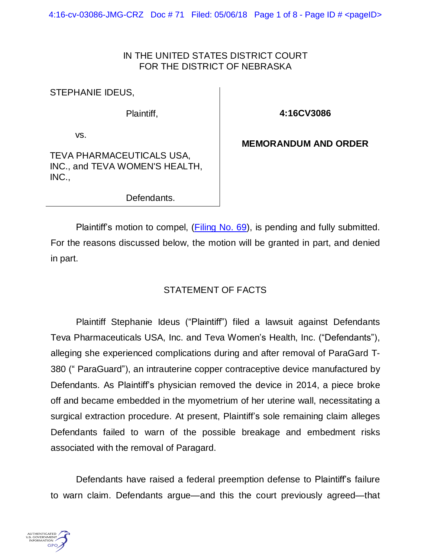4:16-cv-03086-JMG-CRZ Doc #71 Filed: 05/06/18 Page 1 of 8 - Page ID # <pageID>

## IN THE UNITED STATES DISTRICT COURT FOR THE DISTRICT OF NEBRASKA

STEPHANIE IDEUS,

Plaintiff,

**4:16CV3086**

vs.

**MEMORANDUM AND ORDER**

TEVA PHARMACEUTICALS USA, INC., and TEVA WOMEN'S HEALTH, INC.,

Defendants.

Plaintiff's motion to compel, [\(Filing](https://ecf.ned.uscourts.gov/doc1/11313955309) No. 69), is pending and fully submitted. For the reasons discussed below, the motion will be granted in part, and denied in part.

## STATEMENT OF FACTS

Plaintiff Stephanie Ideus ("Plaintiff") filed a lawsuit against Defendants Teva Pharmaceuticals USA, Inc. and Teva Women's Health, Inc. ("Defendants"), alleging she experienced complications during and after removal of ParaGard T-380 (" ParaGuard"), an intrauterine copper contraceptive device manufactured by Defendants. As Plaintiff's physician removed the device in 2014, a piece broke off and became embedded in the myometrium of her uterine wall, necessitating a surgical extraction procedure. At present, Plaintiff's sole remaining claim alleges Defendants failed to warn of the possible breakage and embedment risks associated with the removal of Paragard.

Defendants have raised a federal preemption defense to Plaintiff's failure to warn claim. Defendants argue—and this the court previously agreed—that

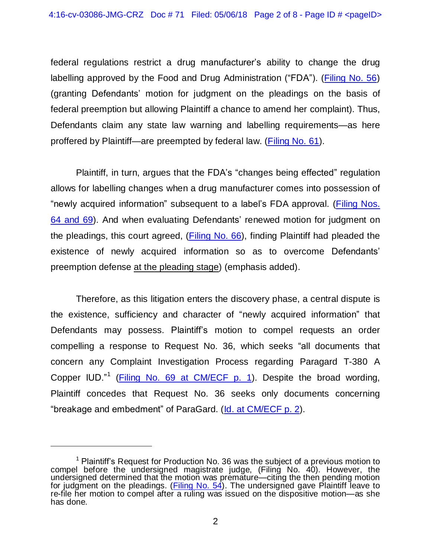federal regulations restrict a drug manufacturer's ability to change the drug labelling approved by the Food and Drug Administration ("FDA"). [\(Filing](https://ecf.ned.uscourts.gov/doc1/11313891999) No. 56) (granting Defendants' motion for judgment on the pleadings on the basis of federal preemption but allowing Plaintiff a chance to amend her complaint). Thus, Defendants claim any state law warning and labelling requirements—as here proffered by Plaintiff—are preempted by federal law. [\(Filing No. 61\)](https://ecf.ned.uscourts.gov/doc1/11313917045).

Plaintiff, in turn, argues that the FDA's "changes being effected" regulation allows for labelling changes when a drug manufacturer comes into possession of "newly acquired information" subsequent to a label's FDA approval. (*Filing Nos.* 64 [and](https://ecf.ned.uscourts.gov/doc1/11313955309) 69). And when evaluating Defendants' renewed motion for judgment on the pleadings, this court agreed, [\(Filing](https://ecf.ned.uscourts.gov/doc1/11313939923) No. 66), finding Plaintiff had pleaded the existence of newly acquired information so as to overcome Defendants' preemption defense at the pleading stage) (emphasis added).

Therefore, as this litigation enters the discovery phase, a central dispute is the existence, sufficiency and character of "newly acquired information" that Defendants may possess. Plaintiff's motion to compel requests an order compelling a response to Request No. 36, which seeks "all documents that concern any Complaint Investigation Process regarding Paragard T-380 A Copper IUD."<sup>1</sup> (*Filing No. 69 at [CM/ECF](https://ecf.ned.uscourts.gov/doc1/11313955309) p. 1*). Despite the broad wording, Plaintiff concedes that Request No. 36 seeks only documents concerning "breakage and embedment" of ParaGard. (Id. at [CM/ECF](https://ecf.ned.uscourts.gov/doc1/11313955309) p. 2).

 $1$  Plaintiff's Request for Production No. 36 was the subject of a previous motion to compel before the undersigned magistrate judge, (Filing No. 40). However, the undersigned determined that the motion was premature—citing the then pending motion for judgment on the pleadings. [\(Filing](https://ecf.ned.uscourts.gov/doc1/11313809302) No. 54). The undersigned gave Plaintiff leave to re-file her motion to compel after a ruling was issued on the dispositive motion—as she has done.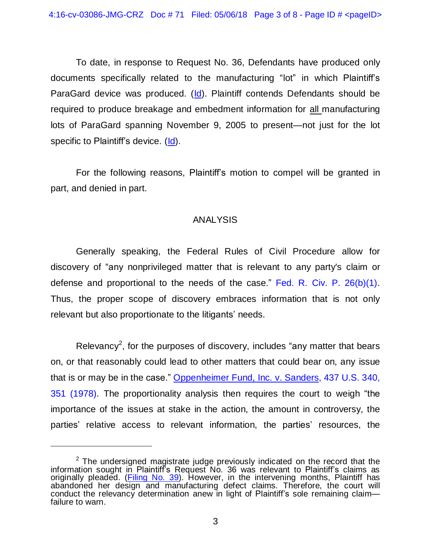To date, in response to Request No. 36, Defendants have produced only documents specifically related to the manufacturing "lot" in which Plaintiff's ParaGard device was produced. [\(Id\)](https://ecf.ned.uscourts.gov/doc1/11313955309). Plaintiff contends Defendants should be required to produce breakage and embedment information for all manufacturing lots of ParaGard spanning November 9, 2005 to present—not just for the lot specific to Plaintiff's device. [\(Id\)](https://ecf.ned.uscourts.gov/doc1/11313955309).

For the following reasons, Plaintiff's motion to compel will be granted in part, and denied in part.

## ANALYSIS

Generally speaking, the Federal Rules of Civil Procedure allow for discovery of "any nonprivileged matter that is relevant to any party's claim or defense and proportional to the needs of the case." Fed. R. Civ. P. [26\(b\)\(1\).](https://www.westlaw.com/Document/NCBF83860B96411D8983DF34406B5929B/View/FullText.html?transitionType=Default&contextData=(sc.Default)&VR=3.0&RS=da3.0) Thus, the proper scope of discovery embraces information that is not only relevant but also proportionate to the litigants' needs.

Relevancy<sup>2</sup>, for the purposes of discovery, includes "any matter that bears on, or that reasonably could lead to other matters that could bear on, any issue that is or may be in the case." [Oppenheimer](https://www.westlaw.com/Document/Ic1e0afe09c1e11d991d0cc6b54f12d4d/View/FullText.html?transitionType=Default&contextData=(sc.Default)&VR=3.0&RS=da3.0&fragmentIdentifier=co_pp_sp_780_351) Fund, Inc. v. Sanders, 437 U.S. 340, 351 [\(1978\).](https://www.westlaw.com/Document/Ic1e0afe09c1e11d991d0cc6b54f12d4d/View/FullText.html?transitionType=Default&contextData=(sc.Default)&VR=3.0&RS=da3.0&fragmentIdentifier=co_pp_sp_780_351) The proportionality analysis then requires the court to weigh "the importance of the issues at stake in the action, the amount in controversy, the parties' relative access to relevant information, the parties' resources, the

 $2$  The undersigned magistrate judge previously indicated on the record that the information sought in Plaintiff's Request No. 36 was relevant to Plaintiff's claims as originally pleaded. (*Filing No. 39*). However, in the intervening months, Plaintiff has abandoned her design and manufacturing defect claims. Therefore, the court will conduct the relevancy determination anew in light of Plaintiff's sole remaining claim failure to warn.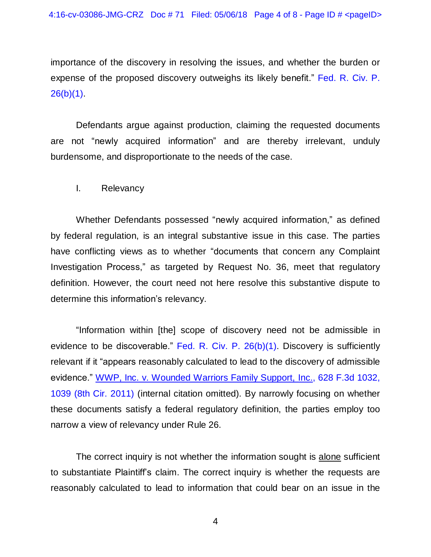importance of the discovery in resolving the issues, and whether the burden or expense of the proposed discovery outweighs its likely benefit." [Fed.](https://www.westlaw.com/Document/NCBF83860B96411D8983DF34406B5929B/View/FullText.html?transitionType=Default&contextData=(sc.Default)&VR=3.0&RS=da3.0) R. Civ. P.  $26(b)(1)$ .

Defendants argue against production, claiming the requested documents are not "newly acquired information" and are thereby irrelevant, unduly burdensome, and disproportionate to the needs of the case.

I. Relevancy

Whether Defendants possessed "newly acquired information," as defined by federal regulation, is an integral substantive issue in this case. The parties have conflicting views as to whether "documents that concern any Complaint Investigation Process," as targeted by Request No. 36, meet that regulatory definition. However, the court need not here resolve this substantive dispute to determine this information's relevancy.

"Information within [the] scope of discovery need not be admissible in evidence to be discoverable." Fed. R. Civ. P.  $26(b)(1)$ . Discovery is sufficiently relevant if it "appears reasonably calculated to lead to the discovery of admissible evidence." WWP, Inc. v. [Wounded](https://www.westlaw.com/Document/I88bd01d11e2b11e0aa23bccc834e9520/View/FullText.html?transitionType=Default&contextData=(sc.Default)&VR=3.0&RS=da3.0&fragmentIdentifier=co_pp_sp_506_1039) Warriors Family Support, Inc., 628 F.3d 1032, 1039 (8th Cir. [2011\)](https://www.westlaw.com/Document/I88bd01d11e2b11e0aa23bccc834e9520/View/FullText.html?transitionType=Default&contextData=(sc.Default)&VR=3.0&RS=da3.0&fragmentIdentifier=co_pp_sp_506_1039) (internal citation omitted). By narrowly focusing on whether these documents satisfy a federal regulatory definition, the parties employ too narrow a view of relevancy under Rule 26.

The correct inquiry is not whether the information sought is alone sufficient to substantiate Plaintiff's claim. The correct inquiry is whether the requests are reasonably calculated to lead to information that could bear on an issue in the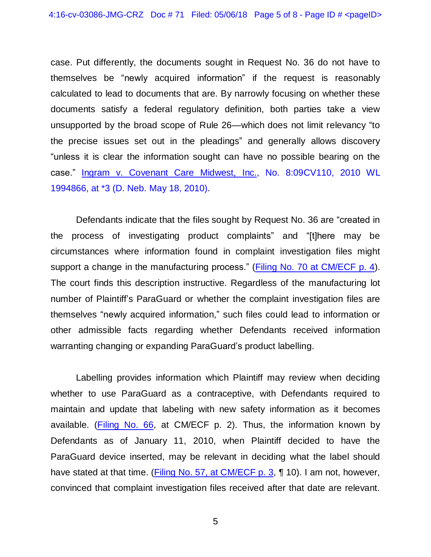case. Put differently, the documents sought in Request No. 36 do not have to themselves be "newly acquired information" if the request is reasonably calculated to lead to documents that are. By narrowly focusing on whether these documents satisfy a federal regulatory definition, both parties take a view unsupported by the broad scope of Rule 26—which does not limit relevancy "to the precise issues set out in the pleadings" and generally allows discovery "unless it is clear the information sought can have no possible bearing on the case." Ingram v. Covenant Care Midwest, Inc., No. [8:09CV110,](https://www.westlaw.com/Document/I99335db6641711dfa7ada84b8dc24cbf/View/FullText.html?transitionType=Default&contextData=(sc.Default)&VR=3.0&RS=da3.0&fragmentIdentifier=co_pp_sp_999_3) 2010 WL [1994866,](https://www.westlaw.com/Document/I99335db6641711dfa7ada84b8dc24cbf/View/FullText.html?transitionType=Default&contextData=(sc.Default)&VR=3.0&RS=da3.0&fragmentIdentifier=co_pp_sp_999_3) at \*3 (D. Neb. May 18, 2010).

Defendants indicate that the files sought by Request No. 36 are "created in the process of investigating product complaints" and "[t]here may be circumstances where information found in complaint investigation files might support a change in the manufacturing process." (Filing No. 70 at [CM/ECF](https://ecf.ned.uscourts.gov/doc1/11313965658?page=4) p. 4). The court finds this description instructive. Regardless of the manufacturing lot number of Plaintiff's ParaGuard or whether the complaint investigation files are themselves "newly acquired information," such files could lead to information or other admissible facts regarding whether Defendants received information warranting changing or expanding ParaGuard's product labelling.

Labelling provides information which Plaintiff may review when deciding whether to use ParaGuard as a contraceptive, with Defendants required to maintain and update that labeling with new safety information as it becomes available. (**Filing No. 66**, at CM/ECF p. 2). Thus, the information known by Defendants as of January 11, 2010, when Plaintiff decided to have the ParaGuard device inserted, may be relevant in deciding what the label should have stated at that time. [\(Filing No. 57, at CM/ECF p. 3,](https://ecf.ned.uscourts.gov/doc1/11313899991?page=3) ¶ 10). I am not, however, convinced that complaint investigation files received after that date are relevant.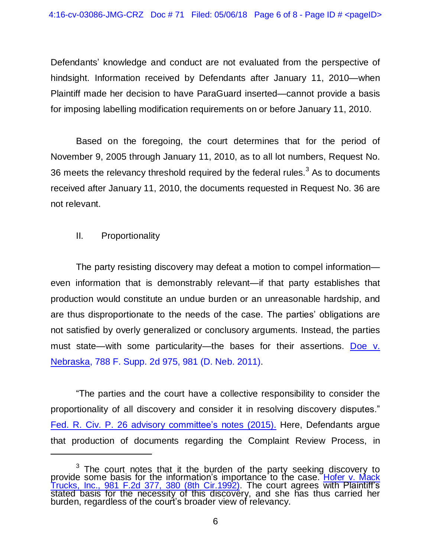Defendants' knowledge and conduct are not evaluated from the perspective of hindsight. Information received by Defendants after January 11, 2010—when Plaintiff made her decision to have ParaGuard inserted—cannot provide a basis for imposing labelling modification requirements on or before January 11, 2010.

Based on the foregoing, the court determines that for the period of November 9, 2005 through January 11, 2010, as to all lot numbers, Request No. 36 meets the relevancy threshold required by the federal rules.<sup>3</sup> As to documents received after January 11, 2010, the documents requested in Request No. 36 are not relevant.

II. Proportionality

The party resisting discovery may defeat a motion to compel information even information that is demonstrably relevant—if that party establishes that production would constitute an undue burden or an unreasonable hardship, and are thus disproportionate to the needs of the case. The parties' obligations are not satisfied by overly generalized or conclusory arguments. Instead, the parties must state—with some particularity—the bases for their assertions. [Doe](https://www.westlaw.com/Document/Iad42c5476b1e11e0b63e897ab6fa6920/View/FullText.html?transitionType=Default&contextData=(sc.Default)&VR=3.0&RS=da3.0&fragmentIdentifier=co_pp_sp_4637_981) v. [Nebraska,](https://www.westlaw.com/Document/Iad42c5476b1e11e0b63e897ab6fa6920/View/FullText.html?transitionType=Default&contextData=(sc.Default)&VR=3.0&RS=da3.0&fragmentIdentifier=co_pp_sp_4637_981) 788 F. Supp. 2d 975, 981 (D. Neb. 2011).

"The parties and the court have a collective responsibility to consider the proportionality of all discovery and consider it in resolving discovery disputes." Fed. R. Civ. P. 26 advisory [committee's](https://www.westlaw.com/Document/NCBF83860B96411D8983DF34406B5929B/View/FullText.html?transitionType=Default&contextData=(sc.Default)&VR=3.0&RS=da3.0) notes (201[5\).](https://www.westlaw.com/Document/NCBF83860B96411D8983DF34406B5929B/View/FullText.html?transitionType=Default&contextData=(sc.Default)&VR=3.0&RS=da3.0) Here, Defendants argue that production of documents regarding the Complaint Review Process, in

 $3$  The court notes that it the burden of the party seeking discovery to provide some basis for the information's importance to the case. [Hofer](https://www.westlaw.com/Document/I1e7b0e66950011d9bc61beebb95be672/View/FullText.html?transitionType=Default&contextData=(sc.Default)&VR=3.0&RS=da3.0&fragmentIdentifier=co_pp_sp_350_380) v. Mack Trucks, Inc., 981 F.2d 377, 380 (8th [Cir.1992\).](https://www.westlaw.com/Document/I1e7b0e66950011d9bc61beebb95be672/View/FullText.html?transitionType=Default&contextData=(sc.Default)&VR=3.0&RS=da3.0&fragmentIdentifier=co_pp_sp_350_380) The court agrees with Plaintiff's stated basis for the necessity of this discovery, and she has thus carried her burden, regardless of the court's broader view of relevancy.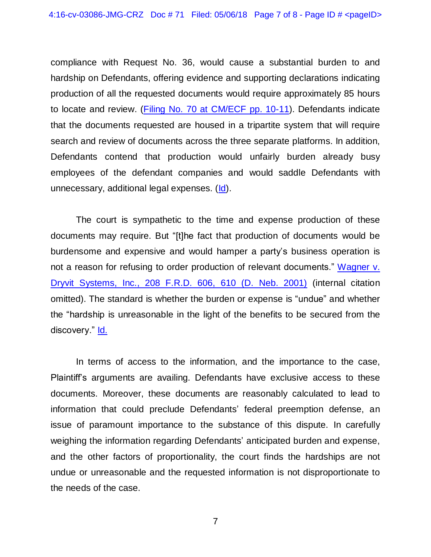compliance with Request No. 36, would cause a substantial burden to and hardship on Defendants, offering evidence and supporting declarations indicating production of all the requested documents would require approximately 85 hours to locate and review. (Filing No. 70 at [CM/ECF](https://ecf.ned.uscourts.gov/doc1/11313965658?page=10) pp. 10-11). Defendants indicate that the documents requested are housed in a tripartite system that will require search and review of documents across the three separate platforms. In addition, Defendants contend that production would unfairly burden already busy employees of the defendant companies and would saddle Defendants with unnecessary, additional legal expenses. [\(Id\)](https://ecf.ned.uscourts.gov/doc1/11313965658?page=10).

The court is sympathetic to the time and expense production of these documents may require. But "[t]he fact that production of documents would be burdensome and expensive and would hamper a party's business operation is not a reason for refusing to order production of relevant documents." [Wagner](https://www.westlaw.com/Document/I1696f64053f711d9b17ee4cdc604a702/View/FullText.html?transitionType=Default&contextData=(sc.Default)&VR=3.0&RS=da3.0&fragmentIdentifier=co_pp_sp_344_610) v. Dryvit [Systems,](https://www.westlaw.com/Document/I1696f64053f711d9b17ee4cdc604a702/View/FullText.html?transitionType=Default&contextData=(sc.Default)&VR=3.0&RS=da3.0&fragmentIdentifier=co_pp_sp_344_610) Inc., 208 F.R.D. 606, 610 (D. Neb. 2001) (internal citation omitted). The standard is whether the burden or expense is "undue" and whether the "hardship is unreasonable in the light of the benefits to be secured from the discovery." [Id.](https://www.westlaw.com/Document/I1696f64053f711d9b17ee4cdc604a702/View/FullText.html?transitionType=Default&contextData=(sc.Default)&VR=3.0&RS=da3.0)

In terms of access to the information, and the importance to the case, Plaintiff's arguments are availing. Defendants have exclusive access to these documents. Moreover, these documents are reasonably calculated to lead to information that could preclude Defendants' federal preemption defense, an issue of paramount importance to the substance of this dispute. In carefully weighing the information regarding Defendants' anticipated burden and expense, and the other factors of proportionality, the court finds the hardships are not undue or unreasonable and the requested information is not disproportionate to the needs of the case.